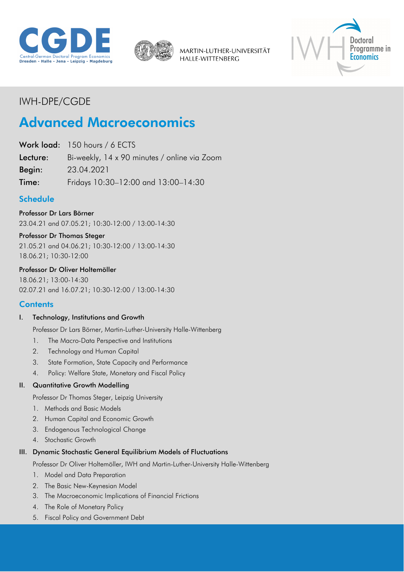



MARTIN-LUTHER-UNIVERSITÄT HALLE-WITTENBERG



## IWH-DPE/CGDE

# Advanced Macroeconomics

Work load: 150 hours / 6 ECTS

Lecture: Bi-weekly, 14 x 90 minutes / online via Zoom

Begin: 23.04.2021

Time: Fridays 10:30–12:00 and 13:00–14:30

## Schedule

Professor Dr Lars Börner 23.04.21 and 07.05.21; 10:30-12:00 / 13:00-14:30

#### Professor Dr Thomas Steger

21.05.21 and 04.06.21; 10:30-12:00 / 13:00-14:30 18.06.21; 10:30-12:00

#### Professor Dr Oliver Holtemöller

18.06.21; 13:00-14:30 02.07.21 and 16.07.21; 10:30-12:00 / 13:00-14:30

#### **Contents**

#### I. Technology, Institutions and Growth

Professor Dr Lars Börner, Martin-Luther-University Halle-Wittenberg

- 1. The Macro-Data Perspective and Institutions
- 2. Technology and Human Capital
- 3. State Formation, State Capacity and Performance
- 4. Policy: Welfare State, Monetary and Fiscal Policy

#### II. Quantitative Growth Modelling

Professor Dr Thomas Steger, Leipzig University

- 1. Methods and Basic Models
- 2. Human Capital and Economic Growth
- 3. Endogenous Technological Change
- 4. Stochastic Growth

#### III. Dynamic Stochastic General Equilibrium Models of Fluctuations

Professor Dr Oliver Holtemöller, IWH and Martin-Luther-University Halle-Wittenberg

- 1. Model and Data Preparation
- 2. The Basic New-Keynesian Model
- 3. The Macroeconomic Implications of Financial Frictions
- 4. The Role of Monetary Policy
- 5. Fiscal Policy and Government Debt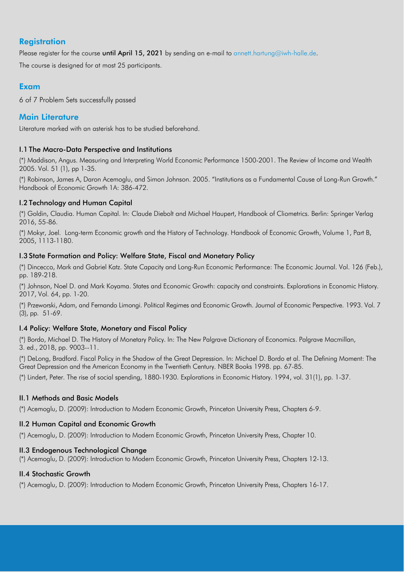## **Registration**

Please register for the course until April 15, 2021 by sending an e-mail to [annett.hartung@iwh-halle.de.](mailto:annett.hartung@iwh-halle.de)

The course is designed for at most 25 participants.

### Exam

6 of 7 Problem Sets successfully passed

## Main Literature

Literature marked with an asterisk has to be studied beforehand.

#### I.1 The Macro-Data Perspective and Institutions

(\*) Maddison, Angus. Measuring and Interpreting World Economic Performance 1500-2001. The Review of Income and Wealth 2005. Vol. 51 (1), pp 1-35.

(\*) Robinson, James A, Daron Acemoglu, and Simon Johnson. 2005. "Institutions as a Fundamental Cause of Long-Run Growth." Handbook of Economic Growth 1A: 386-472.

#### I.2 Technology and Human Capital

(\*) Goldin, Claudia. Human Capital. In: Claude Diebolt and Michael Haupert, Handbook of Cliometrics. Berlin: Springer Verlag 2016, 55-86.

(\*) Mokyr, Joel. Long-term Economic growth and the History of Technology. Handbook of Economic Growth, Volume 1, Part B, 2005, 1113-1180.

#### I.3 State Formation and Policy: Welfare State, Fiscal and Monetary Policy

(\*) Dincecco, Mark and Gabriel Katz. State Capacity and Long-Run Economic Performance: The Economic Journal. Vol. 126 (Feb.), pp. 189-218.

(\*) Johnson, Noel D. and Mark Koyama. States and Economic Growth: capacity and constraints. Explorations in Economic History. 2017, Vol. 64, pp. 1-20.

(\*) Przeworski, Adam, and Fernando Limongi. Political Regimes and Economic Growth. Journal of Economic Perspective. 1993. Vol. 7 (3), pp. 51-69.

#### I.4 Policy: Welfare State, Monetary and Fiscal Policy

(\*) Bordo, Michael D. The History of Monetary Policy. In: The New Palgrave Dictionary of Economics. Palgrave Macmillan, 3. ed., 2018, pp. 9003--11.

(\*) DeLong, Bradford. Fiscal Policy in the Shadow of the Great Depression. In: Michael D. Bordo et al. The Defining Moment: The Great Depression and the American Economy in the Twentieth Century. NBER Books 1998. pp. 67-85.

(\*) Lindert, Peter. The rise of social spending, 1880-1930. Explorations in Economic History. 1994, vol. 31(1), pp. 1-37.

#### II.1 Methods and Basic Models

(\*) Acemoglu, D. (2009): Introduction to Modern Economic Growth, Princeton University Press, Chapters 6-9.

#### II.2 Human Capital and Economic Growth

(\*) Acemoglu, D. (2009): Introduction to Modern Economic Growth, Princeton University Press, Chapter 10.

#### II.3 Endogenous Technological Change

(\*) Acemoglu, D. (2009): Introduction to Modern Economic Growth, Princeton University Press, Chapters 12-13.

#### II.4 Stochastic Growth

(\*) Acemoglu, D. (2009): Introduction to Modern Economic Growth, Princeton University Press, Chapters 16-17.